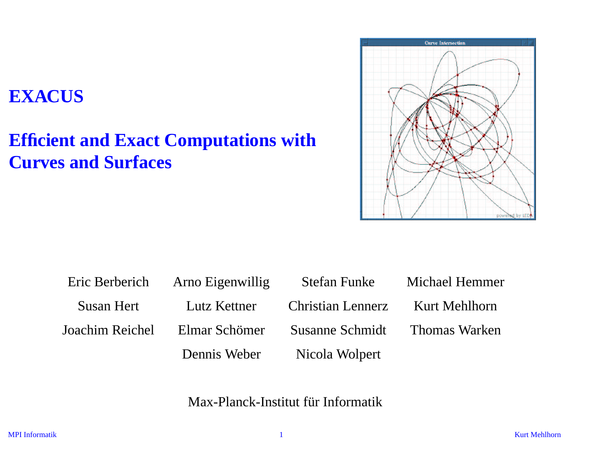#### **EXACUS**

## **Efficient and Exact Computations with Curves and Surfaces**



|            | Eric Berberich Arno Eigenwillig | Stefan Funke                  | Michael Hemmer |
|------------|---------------------------------|-------------------------------|----------------|
| Susan Hert | Lutz Kettner                    | Christian Lennerz             | Kurt Mehlhorn  |
|            | Joachim Reichel — Elmar Schömer | Susanne Schmidt Thomas Warken |                |
|            | Dennis Weber                    | Nicola Wolpert                |                |

Max-Planck-Institut für Informatik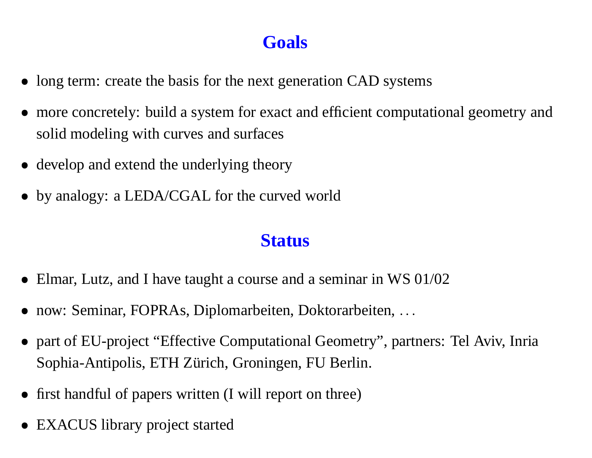### **Goals**

- long term: create the basis for the next generation CAD systems
- more concretely: build <sup>a</sup> system for exact and efficient computational geometry and solid modeling with curves and surfaces
- develop and extend the underlying theory
- by analogy: a LEDA/CGAL for the curved world

#### **Status**

- Elmar, Lutz, and I have taught a course and a seminar in WS 01/02
- now: Seminar, FOPRAs, Diplomarbeiten, Doktorarbeiten, ...
- part of EU-project "Effective Computational Geometry", partners: Tel Aviv, Inria Sophia-Antipolis, ETH Zürich, Groningen, FU Berlin.
- first handful of papers written (I will report on three)
- EXACUS library project started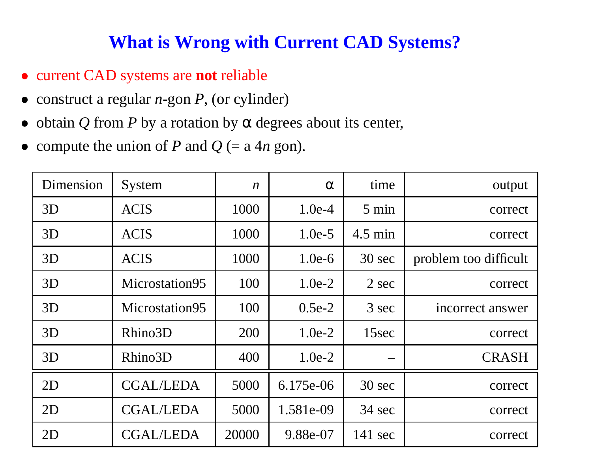#### **What is Wrong with Current CAD Systems?**

- current CAD systems are **not** reliable
- construct <sup>a</sup> regular *<sup>n</sup>*-gon *P*, (or cylinder)
- obtain  $Q$  from  $P$  by a rotation by  $\alpha$  degrees about its center,
- compute the union of *P* and  $Q$  (= a 4*n* gon).

| Dimension | System           | $\boldsymbol{n}$ | $\alpha$  | time              | output                |
|-----------|------------------|------------------|-----------|-------------------|-----------------------|
| 3D        | <b>ACIS</b>      | 1000             | $1.0e-4$  | $5 \text{ min}$   | correct               |
| 3D        | <b>ACIS</b>      | 1000             | $1.0e-5$  | $4.5 \text{ min}$ | correct               |
| 3D        | <b>ACIS</b>      | 1000             | $1.0e-6$  | 30 sec            | problem too difficult |
| 3D        | Microstation95   | 100              | $1.0e-2$  | 2 sec             | correct               |
| 3D        | Microstation95   | 100              | $0.5e-2$  | 3 sec             | incorrect answer      |
| 3D        | Rhino3D          | 200              | $1.0e-2$  | 15sec             | correct               |
| 3D        | Rhino3D          | 400              | $1.0e-2$  | —                 | <b>CRASH</b>          |
| 2D        | <b>CGAL/LEDA</b> | 5000             | 6.175e-06 | 30 sec            | correct               |
| 2D        | <b>CGAL/LEDA</b> | 5000             | 1.581e-09 | 34 sec            | correct               |
| 2D        | <b>CGAL/LEDA</b> | 20000            | 9.88e-07  | $141 \text{ sec}$ | correct               |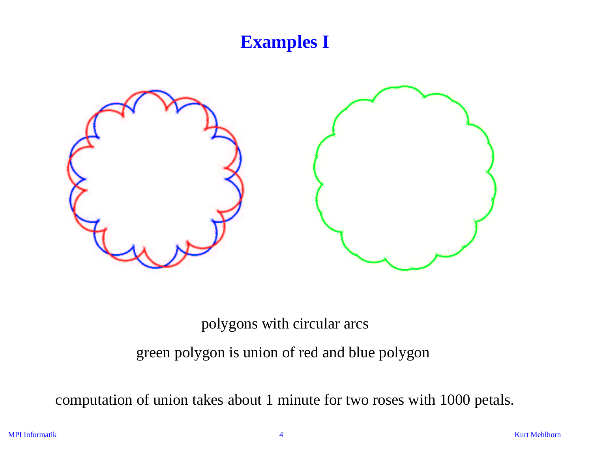### **Examples I**



polygons with circular arcs

green polygon is union of red and blue polygon

computation of union takes about 1 minute for two roses with 1000 petals.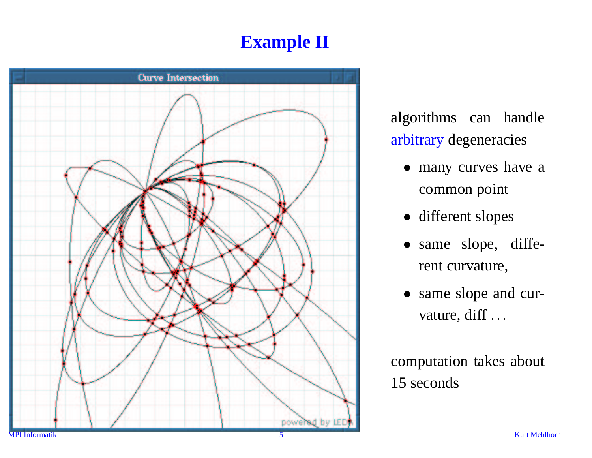# **Example II**



algorithms can handle arbitrary degeneracies

- many curves have a common point
- different slopes
- same slope, different curvature,
- same slope and curvature, diff ...

computation takes about 15 seconds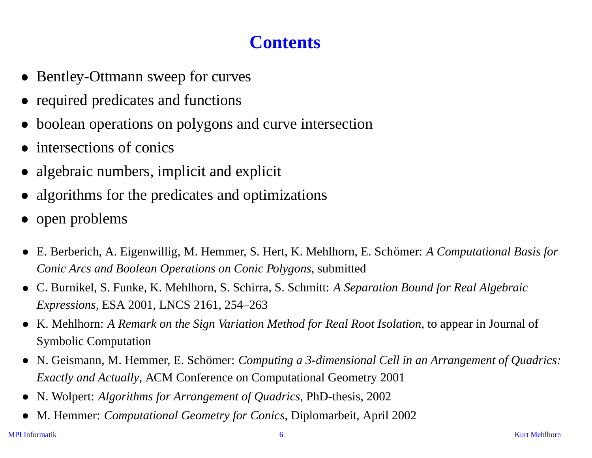### **Contents**

- Bentley-Ottmann sweep for curves
- required predicates and functions
- boolean operations on polygons and curve intersection
- intersections of conics
- algebraic numbers, implicit and explicit
- algorithms for the predicates and optimizations
- open problems
- E. Berberich, A. Eigenwillig, M. Hemmer, S. Hert, K. Mehlhorn, E. Schömer: A *Computational Basis for Conic Arcs and Boolean Operations on Conic Polygons*, submitted
- -C. Burnikel, S. Funke, K. Mehlhorn, S. Schirra, S. Schmitt: *A Separation Bound for Real Algebraic Expressions*, ESA 2001, LNCS 2161, 254–263
- -K. Mehlhorn: *A Remark on the Sign Variation Method for Real Root Isolation*, to appear in Journal of Symbolic Computation
- N. Geismann, M. Hemmer, E. Schömer: *Computing a 3-dimensional Cell in an Arrangement of Quadrics: Exactly and Actually*, ACM Conference on Computational Geometry 2001
- -N. Wolpert: *Algorithms for Arrangement of Quadrics*, PhD-thesis, 2002
- -M. Hemmer: *Computational Geometry for Conics*, Diplomarbeit, April 2002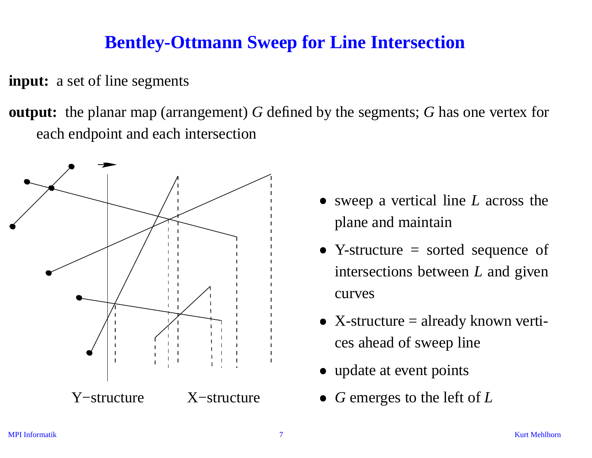#### **Bentley-Ottmann Sweep for Line Intersection**

**input:** <sup>a</sup> set of line segments

**output:** the planar map (arrangement) *G* defined by the segments; *G* has one vertex for each endpoint and each intersection



- sweep <sup>a</sup> vertical line *L* across the plane and maintain
- Y-structure = sorted sequence of intersections between *L* and given curves
- $\bullet$  X-structure = already known vertices ahead of sweep line
- update at event points
- *G* emerges to the left of *L*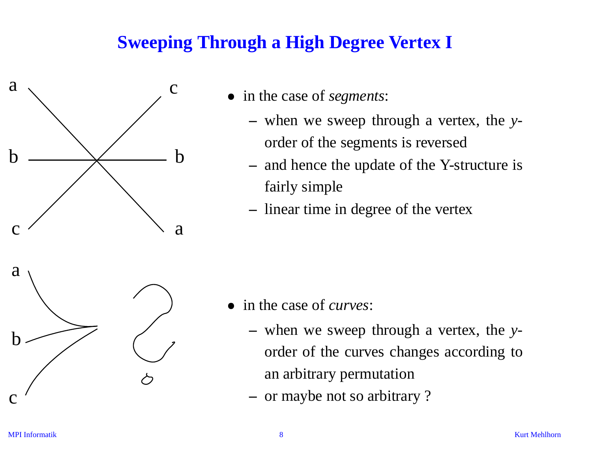### **Sweeping Through <sup>a</sup> High Degree Vertex I**



- in the case of *segments*:
	- when we sweep through <sup>a</sup> vertex, the *y*order of the segments is reversed
	- and hence the update of the Y-structure is fairly simple
	- linear time in degree of the vertex



- in the case of *curves*:
	- when we sweep through <sup>a</sup> vertex, the *y*order of the curves changes according to an arbitrary permutation
	- or maybe not so arbitrary ?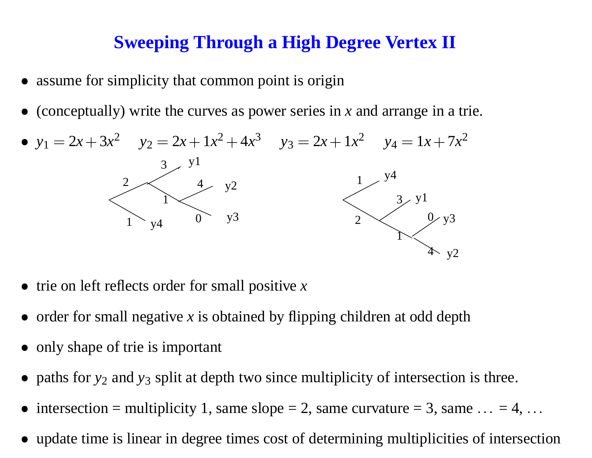#### **Sweeping Through <sup>a</sup> High Degree Vertex II**

- assume for simplicity that common point is origin
- (conceptually) write the curves as power series in *<sup>x</sup>* and arrange in <sup>a</sup> trie.



- trie on left reflects order for small positive *x*
- order for small negative *x* is obtained by flipping children at odd depth
- only shape of trie is important
- paths for  $y_2$  and  $y_3$  split at depth two since multiplicity of intersection is three.
- intersection = multiplicity 1, same slope = 2, same curvature = 3, same  $\dots = 4, \dots$
- update time is linear in degree times cost of determining multiplicities of intersection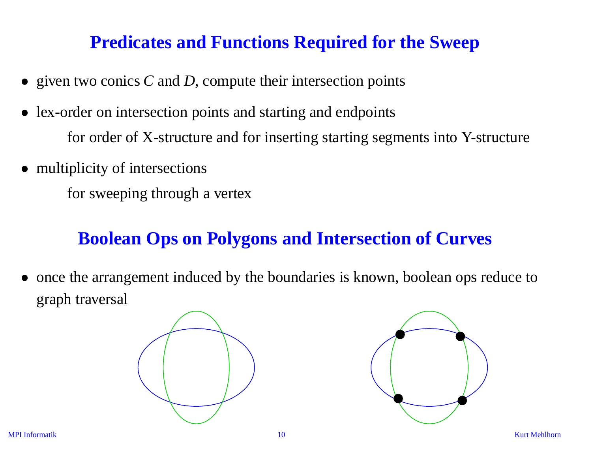#### **Predicates and Functions Required for the Sweep**

- given two conics *C* and *D*, compute their intersection points
- lex-order on intersection points and starting and endpoints for order of X-structure and for inserting starting segments into Y-structure
- multiplicity of intersections

for sweeping through <sup>a</sup> vertex

#### **Boolean Ops on Polygons and Intersection of Curves**

once the arrangemen<sup>t</sup> induced by the boundaries is known, boolean ops reduce to graph traversal



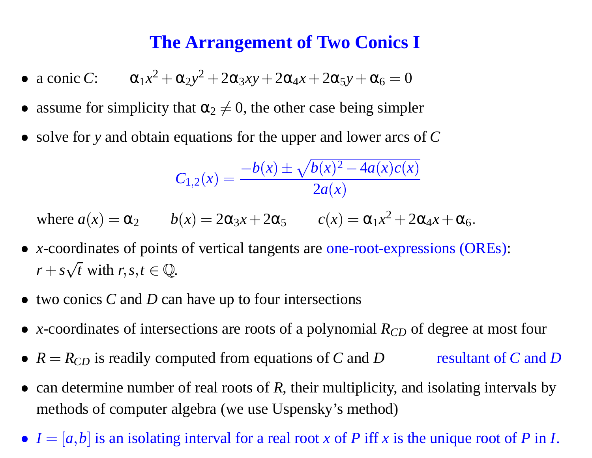#### **The Arrangement of Two Conics I**

- a conic *C*:  $\alpha_1 x^2 + \alpha_2 y^2 + 2\alpha_3 xy + 2\alpha_4 x + 2\alpha_5 y + \alpha_6 = 0$ *Yx***<sup>2</sup> <b>2** $\alpha_5 y + \alpha_6 = 0$ <br>ase being simple<br>and lower arcs  $\frac{1}{(x)^2 - 4a(x)c(x)}$
- assume for simplicity that  $\alpha_2 \neq 0$ , the other case being simpler
- solve for y and obtain equations for the upper and lower arcs of C

$$
\alpha_2 y^2 + 2\alpha_3 xy + 2\alpha_4 x + 2\alpha_5 y + \alpha_6 = 0
$$
  
that  $\alpha_2 \neq 0$ , the other case being simpler  
equations for the upper and lower arcs of  

$$
C_{1,2}(x) = \frac{-b(x) \pm \sqrt{b(x)^2 - 4a(x)c(x)}}{2a(x)}
$$

where  $a(x) = \alpha_2$   $b(x) = 2\alpha_3 x + 2\alpha_5$   $c(x) = \alpha_1 x^2 + 2\alpha_4 x + \alpha_6$ 

- *x*-coordinates of points of vertical tangents are one-root-expressions (OREs):  $r + s\sqrt{t}$  with  $r, s, t \in \mathbb{Q}$ .
- two conics *C* and *D* can have up to four intersections
- *x*-coordinates of intersections are roots of a polynomial *R<sub>CD</sub>* of degree at most four
- $R = R_{CD}$  is readily computed from equations of *C* and *D* resultant of *C* and *D*
- can determine number of real roots of *R*, their multiplicity, and isolating intervals by methods of computer algebra (we use Uspensky's method)
- $I = [a, b]$  is an isolating interval for a real root *x* of *P* iff *x* is the unique root of *P* in *I*.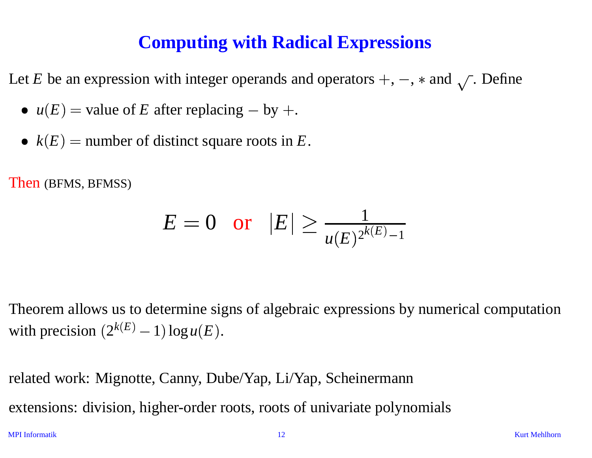#### **Computing with Radical Expressions**

Let *E* be an expression with integer operands and operators  $+$  ,  $-$  ,  $*$  and  $\sqrt{\ }$  . Define

- $u(E)$  = value of *E* after replacing by +.
- $k(E)$  = number of distinct square roots in  $E$ .

Then (BFMS, BFMSS)

$$
E = 0 \quad \text{or} \quad |E| \ge \frac{1}{u(E)^{2^{k(E)} - 1}}
$$

Theorem allows us to determine signs of algebraic expressions by numerical computation with precision  $(2^{k(E)} - 1)\log u(E)$ .

related work: Mignotte, Canny, Dube/Yap, Li/Yap, Scheinermann extensions: division, higher-order roots, roots of univariate polynomials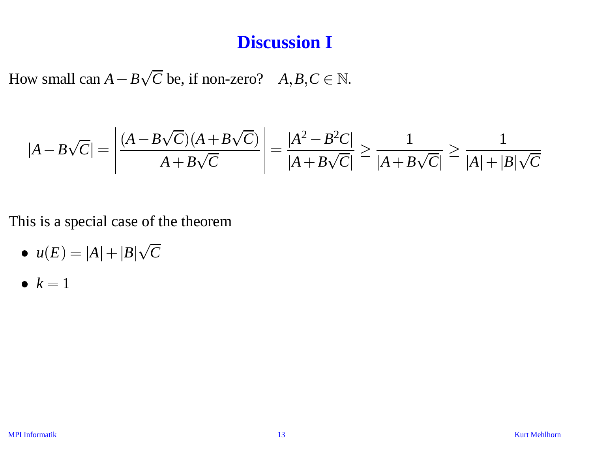#### **Discussion I**

How small can  $A - B\sqrt{C}$  be, if non-zero?  $A, B, C \in \mathbb{N}$ .

**Discussion I**  
ow small can 
$$
A - B\sqrt{C}
$$
 be, if non-zero?  $A, B, C \in \mathbb{N}$ .  

$$
|A - B\sqrt{C}| = \left| \frac{(A - B\sqrt{C})(A + B\sqrt{C})}{A + B\sqrt{C}} \right| = \frac{|A^2 - B^2C|}{|A + B\sqrt{C}|} \ge \frac{1}{|A + B\sqrt{C}|} \ge \frac{1}{|A| + |B|\sqrt{C}}
$$

This is <sup>a</sup> special case of the theorem

- $u(E) = |A| + |B|\sqrt{C}$
- $k=1$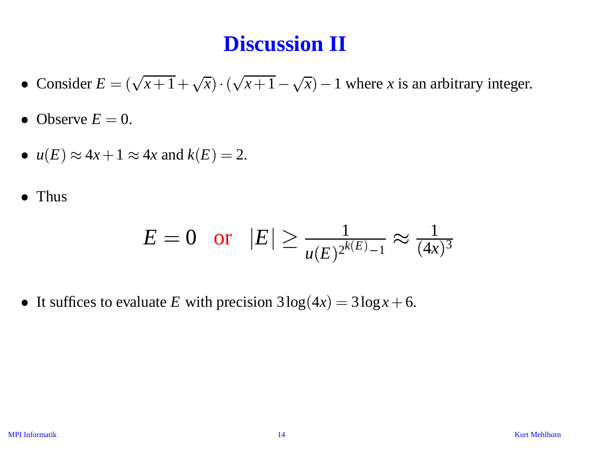# **Discussion II**

- Consider  $E = (\sqrt{x+1} + \sqrt{x}) \cdot (\sqrt{x+1} \sqrt{x}) 1$  where *x* is an arbitrary integer.
- Observe  $E = 0$ .
- $u(E) \approx 4x + 1 \approx 4x$  and  $k(E) = 2$ .
- Thus

$$
E = 0
$$
 or  $|E| \ge \frac{1}{u(E)^{2^{k(E)}-1}} \approx \frac{1}{(4x)^3}$ 

It suffices to evaluate *E* with precision  $3\log(4x) = 3\log x + 6$ .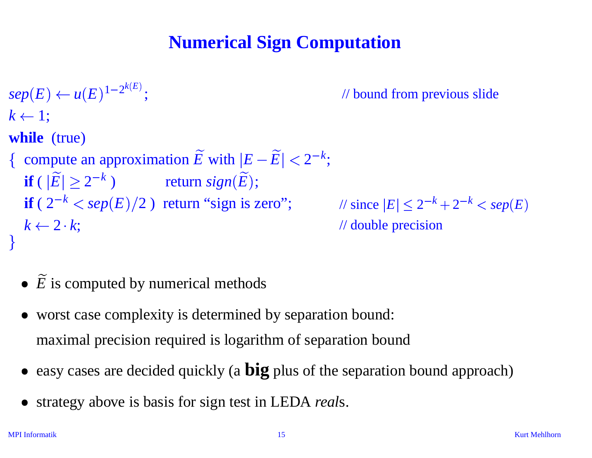## **Numerical Sign Computation**

 $\mathfrak{sup}(E) \leftarrow u(E)^{1-2^{k(E)}};$  // bound from previous slide  $k \leftarrow 1;$ **while** (true) { compute an approximation  $\widetilde{E}$  with  $|E-\widetilde{E}| < 2^{-k}$ ;  $\overline{a}$ + **if** (  $|\widetilde{E}| \ge 2^{-k}$  ) return *sign*( $\widetilde{E}$ );  $\begin{bmatrix} 1 \\ 1 \\ 1 \\ 1 \end{bmatrix}$ |<br>|<br>| *i*(*E*) ← *u*(*E*)<sup>1-2<sup>*k*(*E*)</sup>;<br> **iile** (true)<br>
compute an approximation  $\widetilde{E}$  with  $|E - \widetilde{E}| < 2^{-k}$ ;<br> **if** ( $|\widetilde{E}| \ge 2^{-k}$ ) return  $sign(\widetilde{E})$ ;<br> **if** ( $2^{-k} < sep(E)/2$ ) return "sign is zero"; // since  $|E| \le 2^{-k} +$  $k \leftarrow 2 \cdot k$ ; %2 *k*; // double precision 6<br>- Contra Contra Contra Contra Contra Contra Contra Contra Contra Contra Contra Contra Contra Contra Contra Co<br>- Contra Contra Contra Contra Contra Contra Contra Contra Contra Contra Contra Contra Contra Contra Contra Co 

- $\overline{a}$ •  $\widetilde{E}$  is computed by numerical methods
- worst case complexity is determined by separation bound: maximal precision required is logarithm of separation bound
- easy cases are decided quickly (a **big** plus of the separation bound approach)
- strategy above is basis for sign test in LEDA *real*s.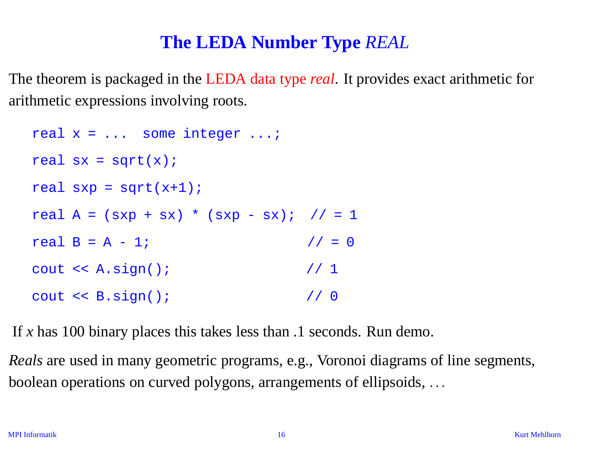#### **The LEDA Number Type** *REAL*

The theorem is packaged in the LEDA data type *real*. It provides exact arithmetic for arithmetic expressions involving roots.

```
real x = ... some integer ...;
real sx = sqrt(x);
real sxp = sqrt(x+1);
real A = (sxp + sx) * (sxp - sx); // = 1
real B = A - 1; \frac{1}{1} // = 0
cout << A.sign(); // 1
cout << B.sign(); // 0
```
If *<sup>x</sup>* has 100 binary places this takes less than .1 seconds. Run demo.

*Reals* are used in many geometric programs, e.g., Voronoi diagrams of line segments, boolean operations on curved polygons, arrangements of ellipsoids,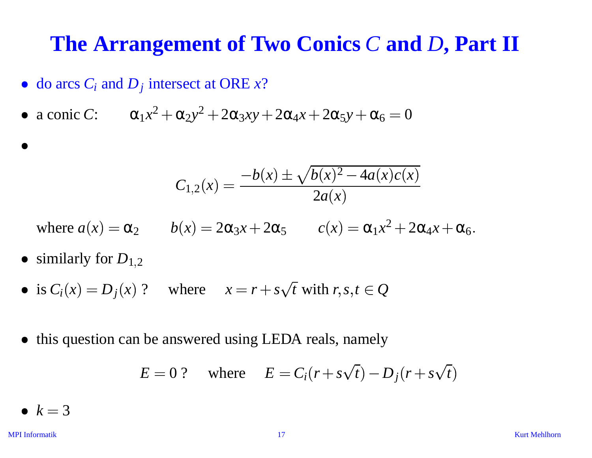# **The Arrangement of Two Conics** *C* **and** *D***, Part II nics** *C* **and**<br> $2\alpha_5 y + \alpha_6 = 0$ <br> $\overline{(x)^2 - 4a(x)c(x)}$

- $\bullet$  do arcs  $C_i$  and  $D_j$  intersect at ORE  $x$ ?
- a conic *C*:  $\alpha_1 x^2 + \alpha_2 y^2 + 2\alpha_3 xy + 2\alpha_4 x + 2\alpha_5 y + \alpha_6 = 0$  $\overline{a}$

reset at 
$$
OREx
$$
?

\n
$$
\alpha_{2}y^{2} + 2\alpha_{3}xy + 2\alpha_{4}x + 2\alpha_{5}y + \alpha_{6} = 0
$$
\n
$$
C_{1,2}(x) = \frac{-b(x) \pm \sqrt{b(x)^{2} - 4a(x)c(x)}}{2a(x)}
$$

where  $a(x) = \alpha_2$   $b(x) = 2\alpha_3 x + 2\alpha_5$   $c(x) = \alpha_1 x^2 + 2\alpha_4 x + \alpha_6$ 

- similarly for  $D_{1,2}$
- is  $C_i(x) = D_j(x)$  ? where  $x = r + s\sqrt{t}$  with  $r, s, t \in Q$
- this question can be answered using LEDA reals, namely

*E* 0 ? where *E Cir s t Djr s t*

•  $k = 3$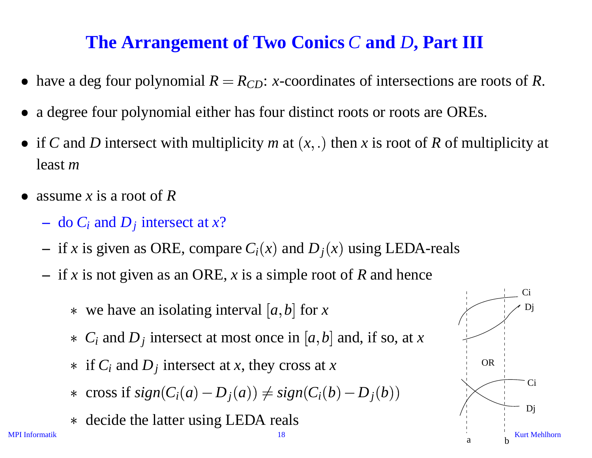#### **The Arrangement of Two Conics** *C* **and** *D***, Part III**

- have a deg four polynomial  $R = R_{CD}$ : *x*-coordinates of intersections are roots of R.
- <sup>a</sup> degree four polynomial either has four distinct roots or roots are OREs.
- if *C* and *D* intersect with multiplicity *m* at  $(x, .)$  then *x* is root of *R* of multiplicity at least *<sup>m</sup>*
- assume *<sup>x</sup>* is <sup>a</sup> root of *R*
	- do *Ci* and *Dj* intersect at *<sup>x</sup>*?
	- $-$  if *x* is given as ORE, compare  $C_i(x)$  and  $D_j(x)$  using LEDA-reals
	- if *<sup>x</sup>* is not given as an ORE, *<sup>x</sup>* is <sup>a</sup> simple root of *R* and hence
		- $\ast$  we have an isolating interval [a, b] for x
			- $\ast$  *C<sub>i</sub>* and *D<sub>j</sub>* intersect at most once in [a, b] and, if so, at *x*
			- $\ast$  if  $C_i$  and  $D_j$  intersect at *x*, they cross at *x*
- f *x* is given as OKE, compare  $C_i(x)$  and  $D_j(x)$  using L.<br>
f *x* is not given as an ORE, *x* is a simple root of *R* and<br>
\* we have an isolating interval [a, b] for *x*<br>
\*  $C_i$  and  $D_j$  intersect at most once in [a, b] an
	- decide the latter using LEDA reals

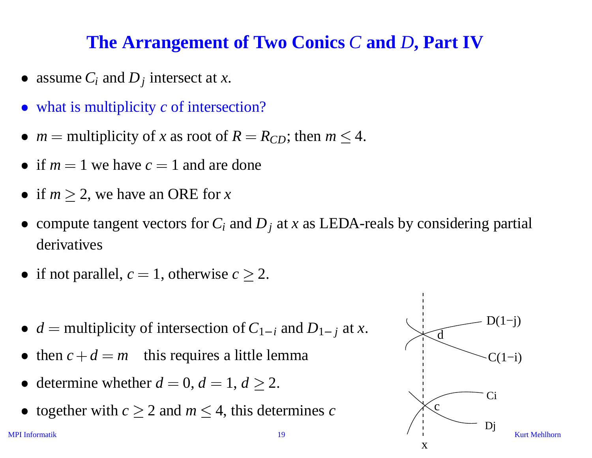#### **The Arrangement of Two Conics** *C* **and** *D***, Part IV**

- assume  $C_i$  and  $D_j$  intersect at *x*.
- what is multiplicity *c* of intersection?
- $m =$  multiplicity of *x* as root of  $R = R_{CD}$ ; then  $m \leq 4$ .
- if  $m = 1$  we have  $c = 1$  and are done
- if  $m \geq 2$ , we have an ORE for *x*
- compute tangent vectors for  $C_i$  and  $D_j$  at *x* as LEDA-reals by considering partial derivatives
- if not parallel,  $c = 1$ , otherwise  $c \geq 2$ .
- $d =$  multiplicity of intersection of  $C_{1-i}$  and  $D_{1-i}$  at *x*.
- then  $c + d = m$  this requires a little lemma
- determine whether  $d = 0, d = 1, d \geq 2$ .
- together with  $c \geq 2$  and  $m \leq 4$ , this determines *c*

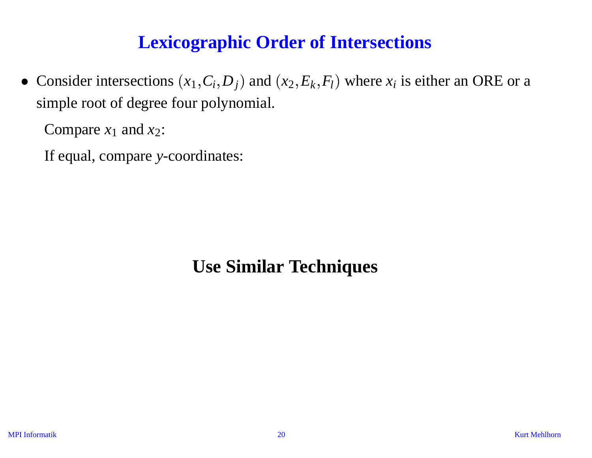#### **Lexicographic Order of Intersections**

• Consider intersections  $(x_1, C_i, D_j)$  and  $(x_2, E_k, F_l)$  where  $x_i$  is either an ORE or a simple root of degree four polynomial.

Compare  $x_1$  and  $x_2$ :

If equal, compare *y*-coordinates:

#### **Use Similar Techniques**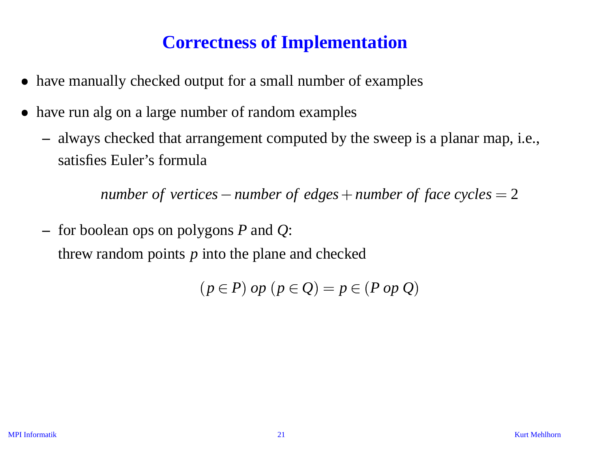#### **Correctness of Implementation**

- have manually checked output for a small number of examples
- have run alg on a large number of random examples
	- always checked that arrangemen<sup>t</sup> computed by the sweep is <sup>a</sup> planar map, i.e., satisfies Euler's formula

*number of vertices* — *number of edges* + *number of face cycles* = 2

 for boolean ops on polygons *P* and *Q*: threw random points *p* into the plane and checked

$$
(p \in P) op (p \in Q) = p \in (P op Q)
$$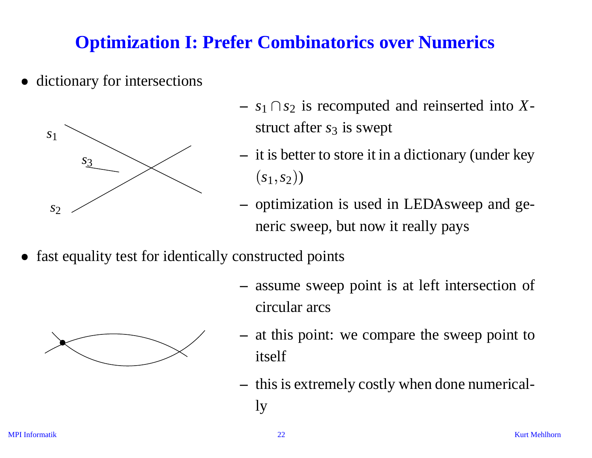### **Optimization I: Prefer Combinatorics over Numerics**

• dictionary for intersections



- $s_1 \cap s_2$  is recomputed and reinserted into Xstruct after *s*<sub>3</sub> is swept
- $-$  it is better to store it in a dictionary (under key  $(s_1, s_2)$
- optimization is used in LEDAsweep and generic sweep, but now it really pays
- fast equality test for identically constructed points





- at this point: we compare the sweep point to itself
- this is extremely costly when done numerically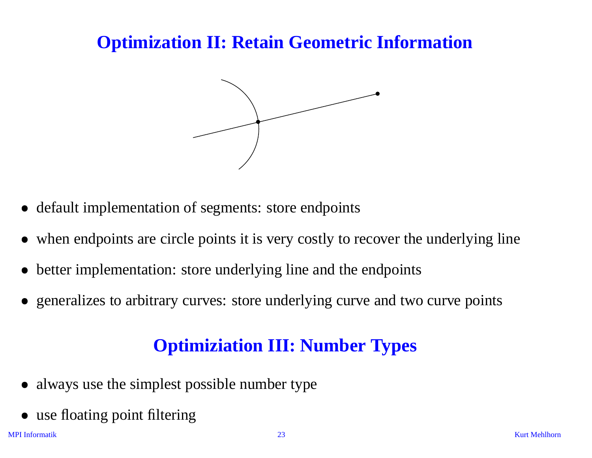#### **Optimization II: Retain Geometric Information**



- default implementation of segments: store endpoints
- when endpoints are circle points it is very costly to recover the underlying line
- better implementation: store underlying line and the endpoints
- generalizes to arbitrary curves: store underlying curve and two curve points

#### **Optimiziation III: Number Types**

- always use the simplest possible number type
- use floating point filtering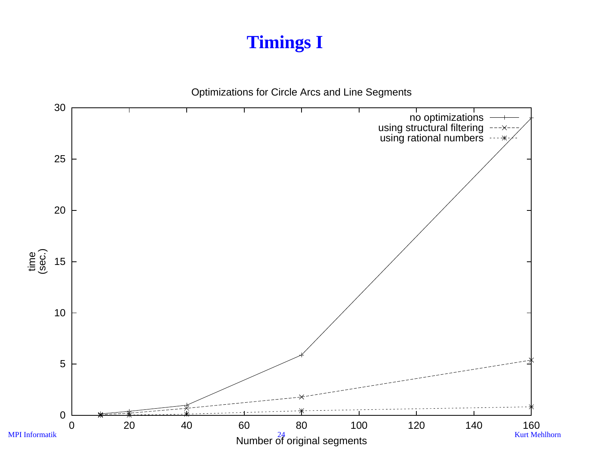## **Timings I**

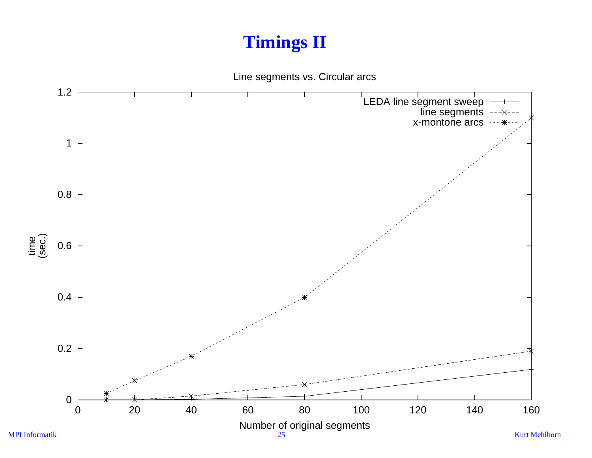## **Timings II**